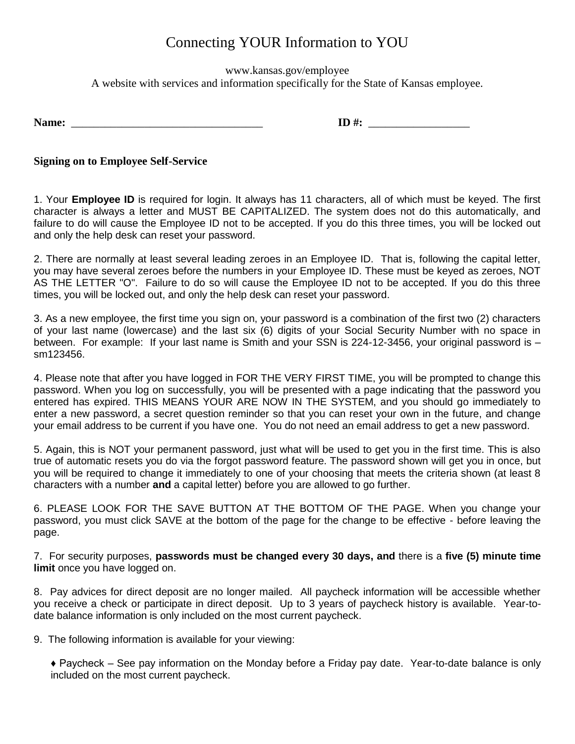## Connecting YOUR Information to YOU

www.kansas.gov/employee A website with services and information specifically for the State of Kansas employee.

**Name:** \_\_\_\_\_\_\_\_\_\_\_\_\_\_\_\_\_\_\_\_\_\_\_\_\_\_\_\_\_\_\_\_\_\_ **ID #:** \_\_\_\_\_\_\_\_\_\_\_\_\_\_\_\_\_\_

**Signing on to Employee Self-Service**

1. Your **Employee ID** is required for login. It always has 11 characters, all of which must be keyed. The first character is always a letter and MUST BE CAPITALIZED. The system does not do this automatically, and failure to do will cause the Employee ID not to be accepted. If you do this three times, you will be locked out and only the help desk can reset your password.

2. There are normally at least several leading zeroes in an Employee ID. That is, following the capital letter, you may have several zeroes before the numbers in your Employee ID. These must be keyed as zeroes, NOT AS THE LETTER "O". Failure to do so will cause the Employee ID not to be accepted. If you do this three times, you will be locked out, and only the help desk can reset your password.

3. As a new employee, the first time you sign on, your password is a combination of the first two (2) characters of your last name (lowercase) and the last six (6) digits of your Social Security Number with no space in between. For example: If your last name is Smith and your SSN is 224-12-3456, your original password is – sm123456.

4. Please note that after you have logged in FOR THE VERY FIRST TIME, you will be prompted to change this password. When you log on successfully, you will be presented with a page indicating that the password you entered has expired. THIS MEANS YOUR ARE NOW IN THE SYSTEM, and you should go immediately to enter a new password, a secret question reminder so that you can reset your own in the future, and change your email address to be current if you have one. You do not need an email address to get a new password.

5. Again, this is NOT your permanent password, just what will be used to get you in the first time. This is also true of automatic resets you do via the forgot password feature. The password shown will get you in once, but you will be required to change it immediately to one of your choosing that meets the criteria shown (at least 8 characters with a number **and** a capital letter) before you are allowed to go further.

6. PLEASE LOOK FOR THE SAVE BUTTON AT THE BOTTOM OF THE PAGE. When you change your password, you must click SAVE at the bottom of the page for the change to be effective - before leaving the page.

7. For security purposes, **passwords must be changed every 30 days, and** there is a **five (5) minute time limit** once you have logged on.

8. Pay advices for direct deposit are no longer mailed. All paycheck information will be accessible whether you receive a check or participate in direct deposit. Up to 3 years of paycheck history is available. Year-todate balance information is only included on the most current paycheck.

9. The following information is available for your viewing:

♦ Paycheck – See pay information on the Monday before a Friday pay date. Year-to-date balance is only included on the most current paycheck.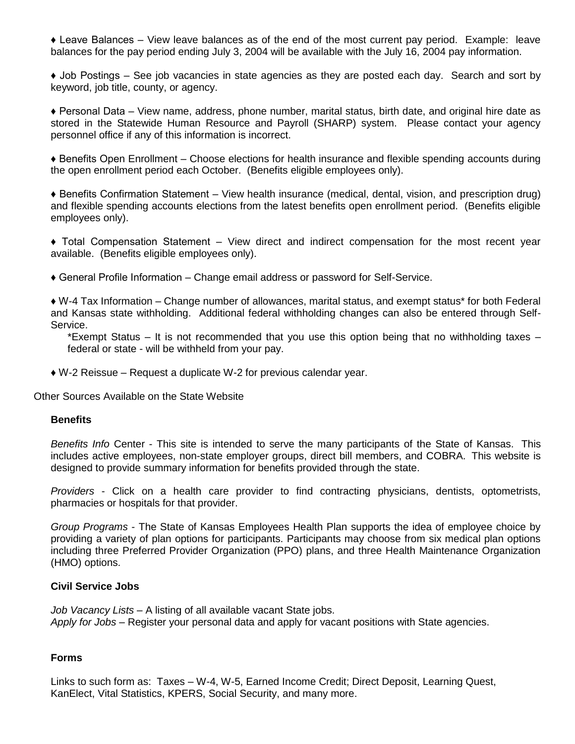♦ Leave Balances – View leave balances as of the end of the most current pay period. Example: leave balances for the pay period ending July 3, 2004 will be available with the July 16, 2004 pay information.

♦ Job Postings – See job vacancies in state agencies as they are posted each day. Search and sort by keyword, job title, county, or agency.

♦ Personal Data – View name, address, phone number, marital status, birth date, and original hire date as stored in the Statewide Human Resource and Payroll (SHARP) system. Please contact your agency personnel office if any of this information is incorrect.

♦ Benefits Open Enrollment – Choose elections for health insurance and flexible spending accounts during the open enrollment period each October. (Benefits eligible employees only).

♦ Benefits Confirmation Statement – View health insurance (medical, dental, vision, and prescription drug) and flexible spending accounts elections from the latest benefits open enrollment period. (Benefits eligible employees only).

♦ Total Compensation Statement – View direct and indirect compensation for the most recent year available. (Benefits eligible employees only).

♦ General Profile Information – Change email address or password for Self-Service.

♦ W-4 Tax Information – Change number of allowances, marital status, and exempt status\* for both Federal and Kansas state withholding. Additional federal withholding changes can also be entered through Self-Service.

\*Exempt Status – It is not recommended that you use this option being that no withholding taxes – federal or state - will be withheld from your pay.

 $\bullet$  W-2 Reissue – Request a duplicate W-2 for previous calendar year.

Other Sources Available on the State Website

## **Benefits**

*Benefits Info* Center - This site is intended to serve the many participants of the State of Kansas. This includes active employees, non-state employer groups, direct bill members, and COBRA. This website is designed to provide summary information for benefits provided through the state.

*Providers* - Click on a health care provider to find contracting physicians, dentists, optometrists, pharmacies or hospitals for that provider.

*Group Programs* - The State of Kansas Employees Health Plan supports the idea of employee choice by providing a variety of plan options for participants. Participants may choose from six medical plan options including three Preferred Provider Organization (PPO) plans, and three Health Maintenance Organization (HMO) options.

## **Civil Service Jobs**

*Job Vacancy Lists* – A listing of all available vacant State jobs. *Apply for Jobs* – Register your personal data and apply for vacant positions with State agencies.

## **Forms**

Links to such form as: Taxes – W-4, W-5, Earned Income Credit; Direct Deposit, Learning Quest, KanElect, Vital Statistics, KPERS, Social Security, and many more.